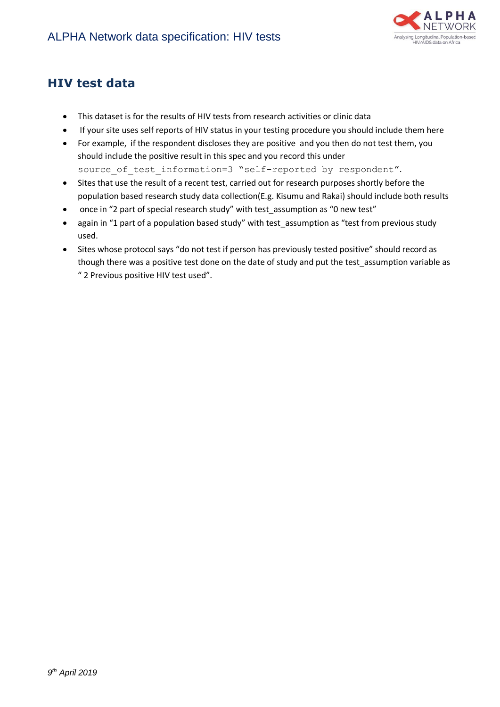

## **HIV test data**

- This dataset is for the results of HIV tests from research activities or clinic data
- If your site uses self reports of HIV status in your testing procedure you should include them here
- For example, if the respondent discloses they are positive and you then do not test them, you should include the positive result in this spec and you record this under source of test information=3 "self-reported by respondent".
- Sites that use the result of a recent test, carried out for research purposes shortly before the population based research study data collection(E.g. Kisumu and Rakai) should include both results
- once in "2 part of special research study" with test\_assumption as "0 new test"
- again in "1 part of a population based study" with test\_assumption as "test from previous study used.
- Sites whose protocol says "do not test if person has previously tested positive" should record as though there was a positive test done on the date of study and put the test assumption variable as " 2 Previous positive HIV test used".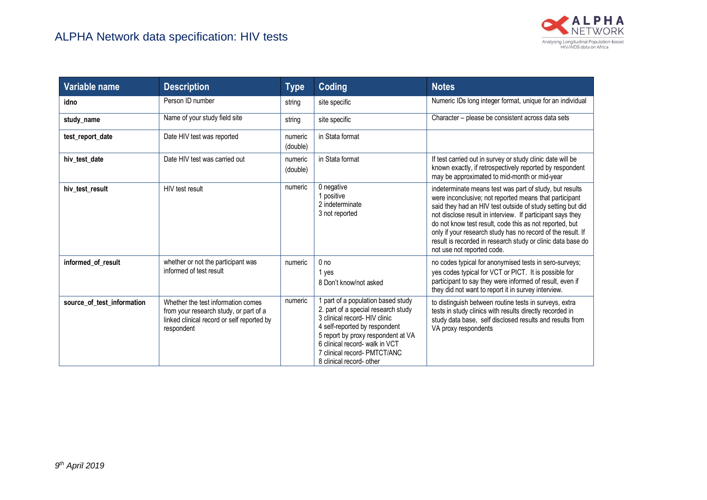

| Variable name              | <b>Description</b>                                                                                                                       | <b>Type</b>         | Coding                                                                                                                                                                                                                                                                        | <b>Notes</b>                                                                                                                                                                                                                                                                                                                                                                                                                                                         |
|----------------------------|------------------------------------------------------------------------------------------------------------------------------------------|---------------------|-------------------------------------------------------------------------------------------------------------------------------------------------------------------------------------------------------------------------------------------------------------------------------|----------------------------------------------------------------------------------------------------------------------------------------------------------------------------------------------------------------------------------------------------------------------------------------------------------------------------------------------------------------------------------------------------------------------------------------------------------------------|
| idno                       | Person ID number                                                                                                                         | string              | site specific                                                                                                                                                                                                                                                                 | Numeric IDs long integer format, unique for an individual                                                                                                                                                                                                                                                                                                                                                                                                            |
| study_name                 | Name of your study field site                                                                                                            | string              | site specific                                                                                                                                                                                                                                                                 | Character – please be consistent across data sets                                                                                                                                                                                                                                                                                                                                                                                                                    |
| test_report_date           | Date HIV test was reported                                                                                                               | numeric<br>(double) | in Stata format                                                                                                                                                                                                                                                               |                                                                                                                                                                                                                                                                                                                                                                                                                                                                      |
| hiv test date              | Date HIV test was carried out                                                                                                            | numeric<br>(double) | in Stata format                                                                                                                                                                                                                                                               | If test carried out in survey or study clinic date will be<br>known exactly, if retrospectively reported by respondent<br>may be approximated to mid-month or mid-year                                                                                                                                                                                                                                                                                               |
| hiv test result            | HIV test result                                                                                                                          | numeric             | 0 negative<br>1 positive<br>2 indeterminate<br>3 not reported                                                                                                                                                                                                                 | indeterminate means test was part of study, but results<br>were inconclusive; not reported means that participant<br>said they had an HIV test outside of study setting but did<br>not disclose result in interview. If participant says they<br>do not know test result, code this as not reported, but<br>only if your research study has no record of the result. If<br>result is recorded in research study or clinic data base do<br>not use not reported code. |
| informed_of_result         | whether or not the participant was<br>informed of test result                                                                            | numeric             | 0 <sub>no</sub><br>1 yes<br>8 Don't know/not asked                                                                                                                                                                                                                            | no codes typical for anonymised tests in sero-surveys;<br>yes codes typical for VCT or PICT. It is possible for<br>participant to say they were informed of result, even if<br>they did not want to report it in survey interview.                                                                                                                                                                                                                                   |
| source of test information | Whether the test information comes<br>from your research study, or part of a<br>linked clinical record or self reported by<br>respondent | numeric             | part of a population based study<br>2. part of a special research study<br>3 clinical record- HIV clinic<br>4 self-reported by respondent<br>5 report by proxy respondent at VA<br>6 clinical record- walk in VCT<br>7 clinical record- PMTCT/ANC<br>8 clinical record- other | to distinguish between routine tests in surveys, extra<br>tests in study clinics with results directly recorded in<br>study data base, self disclosed results and results from<br>VA proxy respondents                                                                                                                                                                                                                                                               |